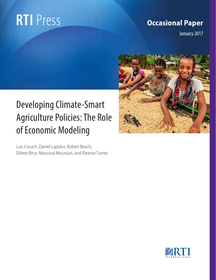# **RTI** Press

### **Occasional Paper**

January 2017

## Developing Climate-Smart Agriculture Policies: The Role of Economic Modeling

Luis Crouch, Daniel Lapidus, Robert Beach, Dileep Birur, Massoud Moussavi, and Eleanor Turner

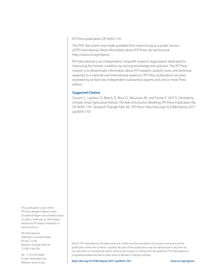RTI Press publication OP-0034-1701

This PDF document was made available from www.rti.org as a public service of RTI International. More information about RTI Press can be found at http://www.rti.org/rtipress.

RTI International is an independent, nonprofit research organization dedicated to improving the human condition by turning knowledge into practice. The RTI Press mission is to disseminate information about RTI research, analytic tools, and technical expertise to a national and international audience. RTI Press publications are peerreviewed by at least two independent substantive experts and one or more Press editors.

#### **Suggested Citation**

Crouch, L., Lapidus, D., Beach, R., Birur, D., Moussavi, M., and Turner, E. (2017). *Developing Climate-Smart Agriculture Policies: The Role of Economic Modeling*. RTI Press Publication No. OP-0034-1701. Research Triangle Park, NC: RTI Press. http://doi.org/10.3768/rtipress.2017. op.0034.1701

This publication is part of the RTI Press Research Report series. Occasional Papers are scholarly essays on policy, methods, or other topics relevant to RTI areas of research or technical focus.

RTI International 3040 East Cornwallis Road PO Box 12194 Research Triangle Park, NC 27709-2194 USA

Tel: +1.919.541.6000 E-mail: rtipress@rti.org Website: www.rti.org

©2016 RTI International. All rights reserved. Credit must be provided to the author and source of the publication when the content is quoted. No part of this publication may be reproduced in any form by any electronic or mechanical means without permission in writing from the publisher. RTI International is a registered trademark and a trade name of Research Triangle Institute.

**http://doi.org/10.3768/rtipress.2017.op.0034.1701 www.rti.org/rtipress**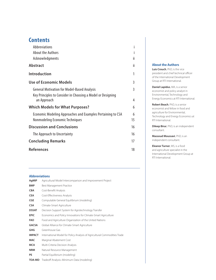#### **Contents**

| Abbreviations                                                              |    |
|----------------------------------------------------------------------------|----|
| <b>About the Authors</b>                                                   |    |
| Acknowledgments                                                            | Ïİ |
| <b>Abstract</b>                                                            | ii |
| Introduction                                                               | 1  |
| <b>Use of Economic Models</b>                                              | 3  |
| <b>General Motivation for Model-Based Analysis</b>                         | 3  |
| Key Principles to Consider in Choosing a Model or Designing<br>an Approach | 4  |
| <b>Which Models for What Purposes?</b>                                     | 6  |
| Economic Modeling Approaches and Examples Pertaining to CSA                | 6  |
| Nonmodeling Economic Techniques                                            | 15 |
| <b>Discussion and Conclusions</b>                                          | 16 |
| The Approach to Uncertainty                                                | 16 |
| <b>Concluding Remarks</b>                                                  | 17 |
| <b>References</b>                                                          | 18 |
|                                                                            |    |

#### **About the Authors**

**Luis Crouch**, PhD, is the vice president and chief technical officer of the International Development Group at RTI International.

**Daniel Lapidus**, MA, is a senior economist and policy analyst in Environmental, Technology and Energy Economics at RTI International.

**Robert Beach**, PhD, is a senior economist and fellow in food and agriculture for Environmental, Technology and Energy Economics at RTI International.

**Dileep Birur**, PhD, is an independent consultant.

**Massoud Moussavi**, PhD, is an independent consultant.

**Eleanor Turner**, MS, is a food and agriculture specialist in the International Development Group at RTI International.

#### **Abbreviations**

| AgMIP         | Agricultural Model Intercomparison and Improvement Project                |
|---------------|---------------------------------------------------------------------------|
| <b>BMP</b>    | Best Management Practice                                                  |
| <b>CBA</b>    | Cost-Benefit Analysis                                                     |
| <b>CEA</b>    | Cost-Effectiveness Analysis                                               |
| <b>CGE</b>    | Computable General Equilibrium (modeling)                                 |
| <b>CSA</b>    | Climate-Smart Agriculture                                                 |
| <b>DSSAT</b>  | Decision Support System for Agrotechnology Transfer                       |
| <b>EPIC</b>   | Economics and Policy Innovations for Climate-Smart Agriculture            |
| <b>FAO</b>    | Food and Agriculture Organization of the United Nations                   |
| <b>GACSA</b>  | Global Alliance for Climate-Smart Agriculture                             |
| GHG           | Greenhouse Gas                                                            |
| <b>IMPACT</b> | International Model for Policy Analysis of Agricultural Commodities Trade |
| <b>MAC</b>    | Marginal Abatement Cost                                                   |
| <b>MCA</b>    | Multi-Criteria Decision Analysis                                          |
| <b>NRM</b>    | Natural Resource Management                                               |
| <b>PE</b>     | Partial Equilibrium (modeling)                                            |
| <b>TOA-MD</b> | Tradeoff Analysis-Minimum Data (modeling)                                 |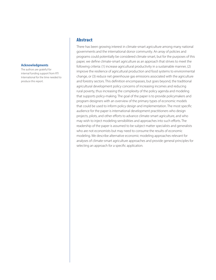#### <span id="page-3-0"></span>**Acknowledgments**

The authors are grateful for internal funding support from RTI International for the time needed to produce this report.

#### Abstract

There has been growing interest in climate-smart agriculture among many national governments and the international donor community. An array of policies and programs could potentially be considered climate smart, but for the purposes of this paper, we define climate-smart agriculture as an approach that strives to meet the following criteria: (1) increase agricultural productivity in a sustainable manner, (2) improve the resilience of agricultural production and food systems to environmental change, or (3) reduce net greenhouse gas emissions associated with the agriculture and forestry sectors. This definition encompasses, but goes beyond, the traditional agricultural development policy concerns of increasing incomes and reducing rural poverty, thus increasing the complexity of the policy agenda and modeling that supports policy-making. The goal of the paper is to provide policymakers and program designers with an overview of the primary types of economic models that could be used to inform policy design and implementation. The most specific audience for the paper is international development practitioners who design projects, pilots, and other efforts to advance climate-smart agriculture, and who may wish to inject modeling sensibilities and approaches into such efforts. The readership of the paper is assumed to be subject matter specialists and generalists who are not economists but may need to consume the results of economic modeling. We describe alternative economic modeling approaches relevant for analyses of climate-smart agriculture approaches and provide general principles for selecting an approach for a specific application.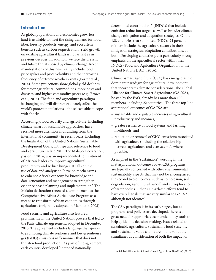#### <span id="page-4-0"></span>Introduction

As global populations and economies grow, less land is available to meet the rising demand for food, fiber, forestry products, energy, and ecosystem benefits such as carbon sequestration. Yield growth on existing agricultural lands is not as fast as in previous decades. In addition, we face the present and future threats posed by climate change. Recent manifestations of this new reality include food price spikes and price volatility and the increasing frequency of extreme weather events (Porter et al., 2014). Some projections show global yield declines for major agricultural commodities, more pests and diseases, and higher commodity prices (e.g., Brown et al., 2015). The food and agriculture paradigm is changing and will disproportionately affect the world's poorest populations—those least able to cope with shocks.

Accordingly, food security and agriculture, including climate-smart or sustainable approaches, have received more attention and funding from the international community in recent years, including the finalization of the United Nations' Sustainable Development Goals, with specific reference to food and agriculture in late 2015. The Malabo Declaration, passed in 2014, was an unprecedented commitment of African leaders to improve agricultural productivity and reduce hunger. It calls on the use of data and analysis to "develop mechanisms to enhance Africa's capacity for knowledge and data generation and management to strengthen evidence based planning and implementation." The Malabo declaration renewed a commitment to the Comprehensive Africa Agriculture Program as a means to transform African economies through agriculture (originally adopted in Maputo in 2003).

Food security and agriculture also featured prominently in the United Nations process that led to the Paris Climate Agreement, adopted in December 2015. The agreement includes language that speaks to promoting climate resilience and low greenhouse gas (GHG) emissions in "a manner that does not threaten food production." As part of the agreement, each country developed "intended nationally

determined contributions" (INDCs) that include emission reduction targets as well as broader climate change mitigation and adaptation strategies. Of the 188 countries that submitted INDCs, 94 percent of them include the agriculture sectors in their mitigation strategies, adaptation contributions, or both. Developing countries put a particularly strong emphasis on the agricultural sector within their INDCs (Food and Agriculture Organization of the United Nations [FAO], 2016).

Climate-smart agriculture (CSA) has emerged as the dominant paradigm for agricultural development that incorporates climate considerations. The Global Alliance for Climate-Smart Agriculture (GACSA), hosted by the FAO, already has more than 100 members, including 22 countries.<sup>1</sup> The three top-line aspirational outcomes of GACSA are

- sustainable and equitable increases in agricultural productivity and incomes,
- greater resilience of food systems and farming livelihoods, and
- reduction or removal of GHG emissions associated with agriculture (including the relationship between agriculture and ecosystems), where possible.

As implied in the "sustainable" wording in the first aspirational outcome above, CSA programs are typically concerned with other environmental sustainability aspects that may not be encompassed the second two outcomes, such as soil erosion, soil degradation, agricultural runoff, and eutrophication of water bodies. Other CSA-related efforts tend to have overall goals that are very similar to GACSA, although not identical.

The CSA paradigm is in its early stages, but as programs and policies are developed, there is a great need for appropriate economic policy tools to help guide this decision-making. Issues related to sustainable agriculture, sustainable food systems, and sustainable value chains are not new, but the simultaneous consideration of both the impact of

<sup>1</sup> See Global Alliance for Climate-Smart Agriculture (GACSA) (2016).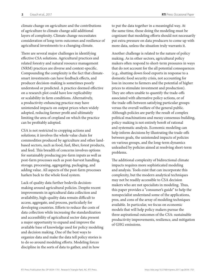climate change on agriculture and the contributions of agriculture to climate change add additional layers of complexity. Climate change necessitates consideration of long-term outcomes and resilience of agricultural investments to a changing climate.

There are several major challenges in identifying effective CSA solutions. Agricultural practices and related forestry and natural resource management (NRM) practices are diverse and context-specific. Compounding the complexity is the fact that climatesmart investments can have feedback effects, and producer decision-making is sometimes poorly understood or predicted. A practice deemed effective on a research plot could have low replicability or scalability in farm conditions. Alternatively, a productivity-enhancing practice may have unintended impacts on output prices when widely adopted, reducing farmer profit and ultimately limiting the area of cropland on which the practice can be profitably adopted.

CSA is not restricted to cropping actions and solutions; it involves the whole value chain for commodities produced by agriculture and other landbased sectors, such as food, fuel, fiber, forest products, and feed. This breadth of concerns involves options for sustainably producing pre-farm inputs as well as post-farm processes such as post-harvest handling, storage, processing, aggregating, packaging, and adding value. All aspects of the post-farm processes harken back to the whole food system.

Lack of quality data further bedevils decisionmaking around agricultural policies. Despite recent improvements in agricultural data collection and availability, high-quality data remain difficult to access, aggregate, and process, particularly for developing countries. Efforts to reduce the costs of data collection while increasing the standardization and accessibility of agricultural sector data present a major opportunity to expand and improve the available base of knowledge used for policy modeling and decision making. One of the best ways to organize data and make the data tell policy stories is to do so around modeling efforts. Modeling forces discipline in the sorts of data to gather, and in how

to put the data together in a meaningful way. At the same time, those doing the modeling must be cognizant that modeling efforts should not necessarily put extra pressure on data producers to come up with more data, unless the situation truly warrants it.

Another challenge is related to the nature of policy making. As in other sectors, agricultural policy makers often respond to short-term pressures in ways that do not account for the all potential consequences (e.g., shutting down food exports in response to a domestic food security crisis, not accounting for loss in income to farmers and the potential of higher prices to stimulate investment and production). They are often unable to quantify the trade-offs associated with alternative policy actions, or of the trade-offs between satisfying particular groups versus the overall welfare of the general public. Although policies are partly the result of complex political machinations and messy consensus-building, policy-making is not entirely bereft of rational and systematic analysis. Economic modeling can help inform decisions by illustrating the trade-offs between goals, the unintended impacts of policies on various groups, and the long-term dynamics unleashed by policies aimed at resolving short-term problems.

The additional complexity of bidirectional climate impacts requires more sophisticated modeling and analysis. Tools exist that can incorporate this complexity, but the modern analytical techniques may not be readily accessible to CSA decision makers who are not specialists in modeling. Thus, this paper provides a "consumer's guide" to help the nonspecialist understand some of the applications, pros, and cons of the array of modeling techniques available. In particular, we focus on economic models that will help policy makers pursue the three aspirational outcomes of the CSA: sustainable productivity improvements, resilience, and mitigation of GHG emissions.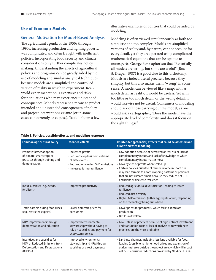#### <span id="page-6-0"></span>Use of Economic Models

#### **General Motivation for Model-Based Analysis**

The agricultural agenda of the 1950s through 1990s, increasing production and fighting poverty, was complicated and often fraught with inefficient policies. Incorporating food security and climate considerations only further complicates policy making. Understanding the effects of agricultural policies and programs can be greatly aided by the use of modeling and similar analytical techniques because models are a simplified and controlled version of reality in which to experiment. Realworld experimentation is expensive and risky for populations who may experience unintended consequences. Models represent a means to predict intended and unintended consequences of policy and project interventions ex ante (or in some cases concurrently or ex post). Table 1 shows a few

illustrative examples of policies that could be aided by modeling.

Modeling is often viewed simultaneously as both too simplistic and too complex. Models are simplified versions of reality and, by nature, cannot account for every detail, yet they are operated using complicated mathematical equations that can be opaque to nonexperts. George Box's aphorism that "Essentially, all models are wrong, but some are useful" (Box & Draper, 1987) is a good clue to this dichotomy. Models are indeed useful precisely because they simplify, but this also makes them "wrong" in some sense. A model can be viewed like a map: with as much detail as reality, it would be useless. Yet with too little or too much detail, or the wrong detail, it would likewise not be useful. Consumers of modeling should ask of those carrying out the model, as one would ask a cartographer, "Does the model have the appropriate level of complexity, and does it focus on the right things?"

| <b>Common agricultural policy</b>                                                                            | <b>Intended effects</b>                                                                                                                          | Unintended (potential) effects that could be assessed and<br>quantified with modeling                                                                                                                                                                                                                                                                                                                                      |
|--------------------------------------------------------------------------------------------------------------|--------------------------------------------------------------------------------------------------------------------------------------------------|----------------------------------------------------------------------------------------------------------------------------------------------------------------------------------------------------------------------------------------------------------------------------------------------------------------------------------------------------------------------------------------------------------------------------|
| Promote farmer adoption<br>of climate-smart crops or<br>practices through training and<br>demonstration      | • Increased profits<br>• Reduced crop loss from extreme<br>climate events<br>• Reduced or avoided GHG emissions<br>• Increased farmer resilience | • Low adoption because of perceived or real risk or lack of<br>complementary inputs, and lack of knowledge of which<br>complementary inputs matter most<br>• Lower yields or profits when scaled up<br>• Certain policies oriented at farmer income in short-run<br>may lead farmers to adopt cropping patterns or practices<br>that are not climate-smart because they reduce net GHG<br>emissions or decrease resilience |
| Input subsidies (e.g., seeds,<br>fertilizers)                                                                | • Improved productivity                                                                                                                          | • Reduced agricultural diversification, leading to lower<br>resilience<br>• Reduced diet diversity<br>• Higher GHG emissions (either aggregate or net) depending<br>on the technology being subsidized                                                                                                                                                                                                                     |
| Trade barriers during food crises<br>(e.g., restricted exports)                                              | • Lower domestic prices for<br>consumers                                                                                                         | • Lower prices for producers, which fails to stimulate<br>production<br>• Net loss of welfare                                                                                                                                                                                                                                                                                                                              |
| NRM improvements through<br>demonstration and education                                                      | • Improved environmental<br>stewardship without having to<br>rely on subsidies and payment for<br>ecosystem services                             | • Low uptake of practices because of high upfront investment<br>and transaction costs or lack of analysis as to which new<br>practices are the most profitable                                                                                                                                                                                                                                                             |
| Incentives and subsidies for<br>NRM or Reduced Emissions from<br>Deforestation and Degradation+<br>$(REDD+)$ | • Improved environmental<br>stewardship and NRM through<br>subsidies or direct payments                                                          | • Land-use changes, including less land available for food,<br>leading (possibly) to higher food prices and expansion of<br>agricultural area outside the project area, which will impact<br>net GHG emissions reductions provided by NRM or REDD+                                                                                                                                                                         |

#### **Table 1. Policies, possible effects, and modeling response**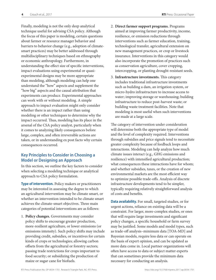<span id="page-7-0"></span>Finally, modeling is not the only deep analytical technique useful for advising CSA policy. Although the focus of this paper is modeling, certain questions about farmer or resource manager behavior and barriers to behavior change (e.g., adoption of climatesmart practices) may be better addressed through multidisciplinary techniques based on ethnography or economic anthropology. Furthermore, in understanding the effect size of specific interventions, impact evaluations using experimental or quasiexperimental designs may be more appropriate than modeling, although modeling can help one understand the "how" aspects and supplement the "how big" aspects and the causal attribution that experiments can produce. Experimental approaches can work with or without modeling. A simple approach to impact evaluation might only consider whether there is an impact rather than using modeling or other techniques to determine why the impact occurred. Thus, modeling has its place in the arsenal of the CSA policy analyst, particularly when it comes to analyzing likely consequences before large, complex, and often irreversible actions are taken, or in understanding ex post facto why certain consequences occurred.

#### **Key Principles to Consider in Choosing a Model or Designing an Approach**

In this section, we outline the key factors to consider when selecting a modeling technique or analytical approach to CSA policy formulation.

**Type of intervention.** Policy makers or practitioners may be interested in assessing the degree to which an agricultural intervention may be climate smart, or whether an intervention intended to be climate smart achieves the climate-smart objectives. Three main categories of potential interventions are as follows:

1. **Policy changes.** Governments may consider policy shifts to encourage greater production, more-resilient agriculture, or lower emissions (or emissions intensity). Such policy shifts may include providing credit, subsidies, or incentives for certain kinds of crops or technologies; allowing carbon offsets from the agricultural or forestry sectors; passing trade restrictions for crops important to food security; or subsidizing the production of maize or sugar cane for biofuels.

- 2. **Direct farmer support programs.** Programs aimed at improving farmer productivity, income, resilience, or emission reductions through interventions such as farmer education, training, technological transfer, agricultural extension on new management practices, or crop or livestock insurance. Interventions in this category would also incorporate the promotion of practices such as conservation agriculture, cover cropping, intercropping, or planting drought-resistant seeds.
- 3. **Infrastructure investments.** This category includes traditional infrastructure investments such as building a dam, an irrigation system, or micro-hydro infrastructure to increase access to water; improving storage or warehousing; building infrastructure to reduce post-harvest waste; or building waste treatment facilities. Note that modeling is most useful when such interventions are made at a large scale.

The category of intervention under consideration will determine both the appropriate type of model and the level of complexity required. Interventions through subsidies and price signals tend to necessitate greater complexity because of feedback loops and interactions. Modeling can help analyze how much climate issues interact (e.g., GHG emissions and resilience) with intensified agricultural production; what consequences these interactions have for whom; and whether subsidies, taxes, or the creation of new environmental markets are the most efficient way to optimize possible trade-offs. Analysis of discrete infrastructure developments tend to be simpler, typically requiring relatively straightforward analysis of costs and benefits.

**Data availability.** For small, targeted studies, or for urgent actions, reliance on existing data will be a constraint. For larger, more-complex studies, or ones that will require large investments and significant policy changes, a specific household or farm survey may be justified. Some models and model types, such as trade-off analysis–minimum data [TOA-MD] and Bayesian models, require less data or can operate on the basis of expert opinion, and can be updated as more data come in. Local partner organizations will often have access to data or subject matter experts that can sometimes provide the minimum data necessary for conducting an analysis.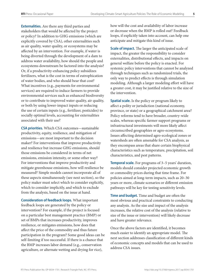**Externalities.** Are there any third parties and stakeholders that would be affected by the project or policy? In addition to GHG emissions (which are explicitly covered by CSA), other externalities such as air quality, water quality, or ecosystems may be affected by an intervention. For example, if water is being diverted through the development of a dam to address water availability, how should the people and ecosystems downstream be factored into the analysis? Or, if a productivity-enhancing policy subsidizes fertilizers, what is the cost in terms of eutrophication of water bodies, and who should bear that cost? What incentives (e.g., payments for environmental services) are required to induce farmers to provide environmental services such as enhanced biodiversity or to contribute to improved water quality, air quality, or both by using lower-impact inputs or reducing the use of certain inputs (e.g., fertilizer, pesticides) to socially optimal levels, accounting for externalities associated with their use?

**CSA priorities.** Which CSA outcomes—sustainable productivity, equity, resilience, and mitigation of emissions—are most important to the decision maker? For interventions that improve productivity and resilience but increase GHG emissions, should those emissions be considered in terms of net emissions, emission intensity, or some other way? For interventions that improve productivity and mitigate greenhouse emissions, how will resilience be measured? Simple models cannot incorporate all of these aspects simultaneously (see next section), so the policy maker must select which to consider explicitly, which to consider implicitly, and which to exclude from the analysis, based on the issue at hand.

**Consideration of feedback loops.** What important feedback loops are generated by the policy or intervention? For example, if the project is focused on a particular best management practice (BMP) or set of BMPs that increases productivity, improves resilience, or mitigates emissions, how does that affect the price of the commodity and thus future participation in the program? Some good ideas can be self-limiting if too successful. If there is a chance that the BMP increases labor demand (e.g., conservation agriculture, or alternate wetting and drying for rice),

how will the cost and availability of labor increase or decrease when the BMP is rolled out? Feedback loops, if explicitly taken into account, can help one anticipate and mitigate this kind of issue.

**Scale of impact.** The larger the anticipated scale of impact, the greater the responsibility to consider externalities, distributional effects, and impacts on general welfare before the policy is enacted. For systemic policy interventions that cannot be analyzed through techniques such as randomized trials, the only way to predict effects is through simulation modeling. Although a larger modeling effort will have a greater cost, it may be justified relative to the size of the intervention.

**Spatial scale.** Is the policy or program likely to affect a polity or jurisdiction (national economy, province, or state) or a geographical catchment area? Policy reforms tend to have broader, country-wide scales, whereas specific farmer support programs or infrastructural investments will more likely affect circumscribed geographies or agro-ecosystems. Issues affecting determined agro-ecological zones or watersheds are often amenable for CSA analysis, as they encompass areas that share certain biophysical characteristics such as temperature, precipitation, soil characteristics, and pest patterns.

**Temporal scale.** For programs of 3–5 years' duration, models should consider projected economic growth or commodity prices during that time frame. For policies aimed at long-term impacts, such as 20–30 years or more, climate scenarios or different emission pathways will be key for testing sensitivity levels.

**Time and budget.** Time and budget are often the most obvious and practical constraints to conducting any analysis. As the size and impact of the analysis increases, the relative cost of the analysis (relative to size of the issue or intervention) will likely decrease and have greater relevance.

Once the above factors are identified, it becomes much easier to identify an appropriate model. The next section addresses classification of different kinds of economic concepts and models that can be used to address CSA issues.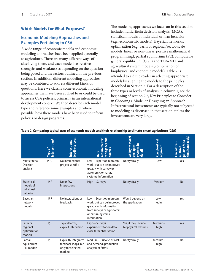#### <span id="page-9-0"></span>Which Models for What Purposes?

#### **Economic Modeling Approaches and Examples Pertaining to CSA**

A wide range of economic models and economic modeling approaches have been applied generally to agriculture. There are many different ways of classifying them, and each model has relative strengths and weaknesses depending on the question being posed and the factors outlined in the previous section. In addition, different modeling approaches may be combined to address different kinds of questions. Here we classify some economic modeling approaches that have been applied to or could be used to assess CSA policies, primarily in an international development context. We then describe each model type and reference some examples and, where possible, how these models have been used to inform policies or design programs.

The modeling approaches we focus on in this section include multicriteria decision analysis (MCA), statistical models of individual or firm behavior (e.g., econometric models), Bayesian networks, optimization (e.g., farm or regional/sector-scale models, linear or non-linear, positive mathematical programming), partial equilibrium (PE), computable general equilibrium (CGE) and TOA-MD, and agricultural system models (combination of biophysical and economic models). Table 2 is intended to aid the reader in selecting appropriate models by aligning the models to the principles described in Section 2. For a description of the three types or levels of analysis in column 1, see the beginning of section 2.2, Key Principles to Consider in Choosing a Model or Designing an Approach. Infrastructural investments are typically not subjected to modeling as discussed in that section, unless the investments are very large.

|                                                           | ntervention <sup>a</sup><br>pe of | feedback loops<br>Interactions/                                                     | stringency and<br>equirements:<br>sources<br>Data                                                                                                 | <b>Ability to model</b><br>systems in<br>ecological<br>etail | Complexity of<br>dpproach | simultaneously<br>చ్<br>Can address<br>pillars of<br>all three |
|-----------------------------------------------------------|-----------------------------------|-------------------------------------------------------------------------------------|---------------------------------------------------------------------------------------------------------------------------------------------------|--------------------------------------------------------------|---------------------------|----------------------------------------------------------------|
| Multicriteria<br>Decision<br>analysis                     | P, R, I                           | No interactions;<br>project specific                                                | Low-Expert opinion can<br>work, but can be improved<br>greatly with survey or<br>agronomic or natural<br>systems information                      | Not typically                                                | Low                       | Yes                                                            |
| <b>Statistical</b><br>models of<br>individual<br>behavior | P, R                              | No or few<br>interactions                                                           | High-Surveys                                                                                                                                      | Not typically                                                | Medium                    | <b>No</b>                                                      |
| Bayesian<br>network<br>models                             | P, R                              | No interactions or<br>feedbacks                                                     | Low-Expert opinion can<br>work, but can be improved<br>greatly with information<br>from surveys or agronomic<br>or natural systems<br>information | Would depend on<br>the application                           | $low-$<br>medium          | Yes                                                            |
| Farm or<br>regional<br>optimization<br>models             | P, R                              | Typical farms,<br>explicit interactions                                             | High-Surveys,<br>experiment station data,<br>close farm observation                                                                               | Yes, if they include<br>biophysical features                 | Medium-<br>high           | Yes                                                            |
| Partial<br>equilibrium<br>(PE) models                     | P, R                              | <b>Explicitly integrates</b><br>feedback loops, but<br>only for selected<br>markets | Medium-Surveys of cost<br>and demand, production<br>analysis of farms                                                                             | Not typically                                                | Medium-<br>high           | <b>No</b>                                                      |

**Table 2. Comparing typical uses of economic models and their relationship to climate-smart agriculture (CSA)**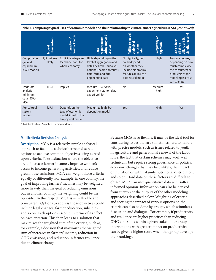|                                                        | ntervention <sup>a</sup><br>pe of | feedback loops<br>nteractions/                                                 | stringency and<br>ements:<br>sources<br>tiup<br>Data<br>ē                                                                                            | to model<br>Æ<br>ecological<br>systems<br><b>Ability</b><br>etail                                                          | Complexity of<br>approach | eousi<br>చ్<br>Can address<br>pillars of<br>three<br>simulta<br>늫                                                                   |
|--------------------------------------------------------|-----------------------------------|--------------------------------------------------------------------------------|------------------------------------------------------------------------------------------------------------------------------------------------------|----------------------------------------------------------------------------------------------------------------------------|---------------------------|-------------------------------------------------------------------------------------------------------------------------------------|
| Computable<br>general<br>equilibrium<br>(CGE) models   | P, R but less<br>likely           | <b>Explicitly integrates</b><br>feedback loops for<br>whole economy            | High, depending on the<br>level of aggregation and<br>detail desired-surveys,<br>national income accounts<br>data, farm and firm<br>engineering data | Not typically, but<br>could depend<br>on whether they<br>include biophysical<br>features or link to a<br>biophysical model | High                      | To some degree,<br>depending on how<br>much complexity<br>the consumers or<br>producers of the<br>modeling exercise<br>can tolerate |
| Trade-off<br>analysis-<br>minimum<br>data (TOA-<br>MD) | P, R, I                           | Implicit                                                                       | Medium-Surveys,<br>experiment station data,<br>expert opinion                                                                                        | No                                                                                                                         | Medium-<br>high           | Yes                                                                                                                                 |
| Agricultural<br>system<br>models                       | P, R, I                           | Depends on the<br>type of economic<br>model linked to the<br>biophysical model | Medium to high, but<br>depends on model                                                                                                              | Yes                                                                                                                        | High                      | Yes                                                                                                                                 |

**Table 2. Comparing typical uses of economic models and their relationship to climate-smart agriculture (CSA)** *[continued]*

 $a =$  I = infrastructure; P = policy; R = program level.

#### **Multicriteria Decision Analysis**

**Description.** MCA is a relatively simple analytical approach to facilitate a choice between discrete options to achieve common objectives using agreedupon criteria. Take a situation where the objectives are to increase farmer incomes, improve women's access to income-generating activities, and reduce greenhouse emissions. MCA can weight those criteria equally or differently. For example, in one country, the goal of improving farmers' incomes may be weighted more heavily than the goal of reducing emissions, but in another country, the weighting could be the opposite. In this respect, MCA is very flexible and transparent. Options to address those objectives could include legal changes, farmer education, subsidies, and so on. Each option is scored in terms of its effect on each criterion. This then leads to a solution that maximizes the weighted sum of the criteria, such as, for example, a decision that maximizes the weighted sum of increases in farmers' income, reduction in GHG emissions, and reduction in farmer resilience due to climate change.

Because MCA is so flexible, it may be the ideal tool for considering issues that are sometimes hard to handle with precise models, such as issues related to youth in agriculture and generational renewal of the labor force, the fact that certain schemes may work well technically but require strong governance or political economic changes that may be unlikely, the impact on nutrition or within-family nutritional distribution, and so on. Hard data on these factors are difficult to obtain. MCA can mix quantitative data with softer informed opinion. Information can also be derived from surveys or the outputs of the other modeling approaches described below. Weighting of criteria and scoring the impact of various options on the criteria can also be done by groups, which stimulates discussion and dialogue. For example, if productivity and resilience are higher priorities than reducing GHG emissions within a given stakeholder group, interventions with greater impact on productivity can be given a higher score when that group develops their rankings.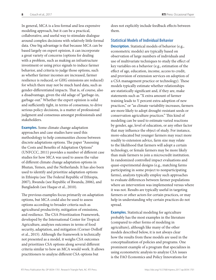In general, MCA is a less formal and less expensive modeling approach, but it can be a practical, collaborative, and useful way to stimulate dialogue around complex decisions with relatively little formal data. One big advantage is that because MCA can be based largely on expert opinion, it can incorporate a great variety of concerns (options for dealing with a problem, such as making an infrastructure investment or using price signals to induce farmer behavior, and criteria to judge those options, such as whether farmer incomes are increased, farmer resilience is reduced, or GHG emissions are reduced) for which there may not be much hard data, such as gender-differentiated impacts. That is, of course, also a disadvantage, given the old adage of "garbage-in, garbage-out." Whether the expert opinion is solid and sufficiently tight, in terms of consensus, to drive serious policy decisions, is a matter of professional judgment and consensus amongst professionals and stakeholders.

**Examples.** Some climate change adaptation approaches and case studies have used this methodology to help communities choose between discrete adaptations options. The paper "Assessing the Costs and Benefits of Adaptation Options" (UNFCCC, 2011) provides a number of different case studies for how MCA was used to assess the value of different climate change adaptation options in Bhutan, Yemen, and the Netherlands. It has also been used to identify and prioritize adaptation options in Ethiopia (see The Federal Republic of Ethiopia, 2007), Rwanda (see Republic of Rwanda, 2006), and Bangladesh (see Haque et al., 2010).

The previous examples focus primarily on adaptation options, but MCA could also be used to assess options according to broader criteria such as agricultural productivity, mitigation of emissions, and resilience. The CSA Prioritization Framework, developed by the International Center for Tropical Agriculture, analyzes outcomes in terms of food security, adaptation, and mitigation (Corner-Dolloff et al., 2015). Although the framework is technically not presented as a model, it weighs CSA outcomes and prioritizes CSA options along several different criteria similar to how an MCA would work. It allows practitioners to analyze different CSA options but

does not explicitly include feedback effects between them.

#### **Statistical Models of Individual Behavior**

**Description.** Statistical models of behavior (e.g., econometric models) are typically based on observation of large numbers of individuals and use of multivariate techniques to study the effect of key variables on a behavior (e.g., estimation of the effect of age, education, income, access to credit, and provision of extension services on adoption of a CSA management practice or technology). These models typically estimate whether relationships are statistically significant and, if they are, make statements such as "X extra amount of farmer training leads to Y percent extra adoption of new practices," or "as climate variability increases, farmers are more likely to adopt drought-resistant seeds or conservation agriculture practices." This kind of modeling can be used to estimate varied reactions by gender, age, level of education, or any other factor that may influence the object of study. For instance, more-educated but younger farmers may react more readily to extension advice, farm size may relate to the likelihood that farmers will adopt a certain technology, or female farmers may be more likely than male farmers to join a microcredit institution. In randomized controlled impact evaluations and quasi-experimental designs (e.g., matching farms participating in some project to nonparticipating farms), analysts typically employ such approaches to evaluate differences between farmer populations where an intervention was implemented versus where it was not. Results are typically useful in targeting farmers or other actors for certain practices, or may help in understanding why certain practices do not spread.

**Examples.** Statistical modeling for agriculture probably has the most examples in the literature (compared to other forms of modeling in agriculture), although like many of the other models described below, it is not always clear how the results from these models are used in the conceptualization of policies and programs. One prominent example of a program that specializes in using econometric analysis to analyze CSA issues is the FAO Economics and Policy Innovations for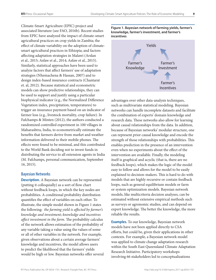Climate-Smart Agriculture (EPIC) project and associated literature (see FAO, 2016b). Recent studies from EPIC have analyzed the impact of climate-smart agricultural practices on crop yields in Zambia; the effect of climate variability on the adoption of climatesmart agricultural practices in Ethiopia; and factors affecting adaptation strategies in Malawi (Arslan et al., 2015; Asfaw et al., 2014; Asfaw et al., 2015). Similarly, statistical approaches have been used to analyze factors that affect farmers' use of adaptation strategies (Nhemachena & Hassan, 2007) and to design index-based insurance contracts (Chantarat et. al, 2012). Because statistical and econometric models can show predictive relationships, they can be used to support and justify using a particular biophysical indicator (e.g., the Normalized Difference Vegetation index, precipitation, temperatures) to trigger an insurance payment based on an indicator of farmer loss (e.g., livestock mortality, crop failure). In Fafchamps & Minten (2012), the authors conducted a randomized controlled experiment in 100 villages in Maharashtra, India, to econometrically estimate the benefits that farmers derive from market and weather information delivered to their mobile phones. The effects were found to be minimal, and this contributed to the World Bank deciding not to invest funds in distributing the service to all extension agents in India (M. Fafchamps, personal communication, September 16, 2015).

#### **Bayesian Networks**

**Description.** A Bayesian network can be represented (putting it colloquially) as a sort of flow chart without feedback loops, in which the key nodes are probabilities. A conditional probability distribution quantifies the effect of variables on each other. To illustrate, the simple model shown in Figure 1 states the following: *the farming yield is affected by farmer's knowledge and investment*; *knowledge and incentives affect investment in the farm*. The probability calculus of the network allows estimation of the probability of any variable taking a value using the values of some or all of other variables in the network. For example, given observations about a certain average farmers' knowledge and incentives, the model allows users to predict the likelihood that the farmers' yields would be high or low. Bayesian networks offer several





advantages over other data-analysis techniques, such as multivariate statistical modeling. Bayesian networks can handle incomplete datasets and facilitate the combination of experts' domain knowledge and research data. These networks also allow for learning about causal relationships from the data. In addition, because of Bayesian networks' modular structure, one can represent prior causal knowledge and encode the strength of those relationships with probabilities. This enables prediction in the presence of an intervention even when no experiments about the effect of the intervention are available. Finally, the modeling itself is graphical and acyclic (that is, there are no feedback loops), which makes the logic of the model easy to follow and allows for the model to be easily explained to decision-makers. This is hard to do with models that are highly recursive or contain feedback loops, such as general equilibrium models or farm or system optimization models. Bayesian network models, like multicriteria decision analyses, can be estimated without extensive empirical methods such as surveys or agronomic studies, and can depend on expert knowledge. The better the knowledge, the more reliable the results.

**Examples.** To our knowledge, Bayesian network models have not been applied directly to CSA efforts, but could be, given their applications in other contexts. For example, a Bayesian network model was applied to climate change adaptation research within the South East Queensland Climate Adaptation Research Initiative. Participatory workshops involving 66 stakeholders led to conceptualizations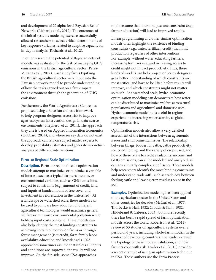and development of 22 alpha-level Bayesian Belief Networks (Richards et al., 2012). The outcomes of the initial systems modeling exercise successfully allowed researchers to select critical determinants of key response variables related to adaptive capacity for in-depth analysis (Richards et al., 2012).

In other research, the potential of Bayesian network models was evaluated for the task of managing GHG emissions in the British agricultural sector (Perez-Minana et al., 2012). Case study farms typifying the British agricultural sector were input into the Bayesian network model to provide understanding of how the tasks carried out on a farm impact the environment through the generation of GHG emissions.

Furthermore, the World Agroforestry Centre has proposed using a Bayesian analysis framework to help program designers assess risk to improve agro-ecosystem intervention design in data-scarce environments (Shepherd, et al., 2014). The approach they cite is based on Applied Information Economics (Hubbard, 2014), and where survey data do not exist, the approach can rely on subject matter experts to develop probability estimates and generate risk-return analyses of different interventions.

#### **Farm- or Regional-Scale Optimization**

**Description.** Farm- or regional-scale optimization models attempt to maximize or minimize a variable of interest, such as a typical farmer's income, or environmental variables, such as GHG emissions, subject to constraints (e.g., amount of credit, land, and inputs at hand; amount of tree cover and investment in reforestation in the watershed). At a landscape or watershed scale, these models can be used to compare how adoption of different agricultural technologies would maximize general welfare or minimize environmental pollution while holding input costs constant. These models can also help identify the most binding constraints to achieving certain outcomes on farms or through forest management (is it credit, farm family labor availability, education and knowledge?). CSA approaches sometimes assume that unless all inputs and conditions are improved, the results will not improve. On the flip side, some CSA approaches

might assume that liberating just one constraint (e.g., farmer education) will lead to improved results.

Linear programming and other similar optimization models often highlight the existence of binding constraints (e.g., water, fertilizer, credit) that limit production regardless of other interventions. For example, without water, educating farmers, increasing fertilizer use, and increasing access to credit might not impact productivity. Thus, these kinds of models can help project or policy designers get a better understanding of which constraints are most critical and have to be lifted before results will improve, and which constraints might not matter so much. At a watershed scale, hydro-economic optimization modeling can demonstrate how water can be distributed to maximize welfare across rural populations and agricultural and domestic uses. Hydro-economic modeling is useful in regions experiencing increasing water scarcity as global temperatures rise.

Optimization models also allow a very detailed assessment of the interactions between agronomic issues and environmental issues. The relationship between tillage, fodder for cattle, cattle productivity, soil conditioning, and the variety of crops used, and how of these relate to credit availability, income, and GHG emissions, can all be modeled and analyzed, as can any similarly complex set of issues. These models help researchers identify the most binding constraints and understand trade-offs, such as trade-offs between feeding cattle and leaving crop residues on or in the soil.

**Examples.** Optimization modeling has been applied to the agriculture sector in the United States and other countries for decades (McCarl et al., 1977; Thorbecke & Hall, 1982; Crouch & Siam, 1982; Hildebrand & Cabrera, 2003), but more recently, there has been a rapid spread of farm optimization models across the world. Robertson et al. (2012) reviewed 53 studies on agricultural systems over a period of 6 years, including whole-farm models in the context of developing countries. The study reviewed the typology of these models, validation, and how farmers cope with risk. Fowler et al. (2015) provides a recent example of using an optimization technique in CSA. Those authors use the Farm Process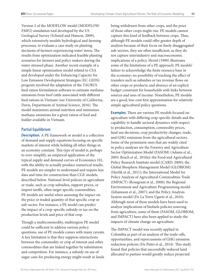Version 2 of the MODFLOW model (MODFLOW-FMP2) simulation tool developed by the US Geological Survey (Schmid and Hanson, 2009), which extensively models hydrological and farming processes, to evaluate a case study on planting decisions of farmers experiencing water stress. The results from optimization indicated feasible planting scenarios for farmers and policy makers during the water-stressed phase. Another recent example of a simple linear optimization model related to CSA and developed under the Enhancing Capacity for Low Emission Development Strategies (EC-LEDS) program involved the adaptation of the TAURUS feed ration formulation software to estimate methane emissions from beef cattle associated with different feed rations in Vietnam (see University of California, Davis, Department of Animal Science, 2016). The model maximizes animal nutrition and minimizes methane emissions for a given ration of feed and fodder available in Vietnam.

#### **Partial Equilibrium**

**Description.** A PE framework or model is a collection of demand and supply equations focusing on specific markets of interest while holding all other things in an economy constant. This type of model is, perhaps to over-simplify, an empirical application of the typical supply and demand curves of Economics 101, with the ability to actually produce numerical results. PE models are simpler to understand and require less data and time for construction than CGE models, described below. National-level policies in agriculture or trade, such as crop subsidies, support prices, or import tariffs, often target specific commodities. PE models are useful when assessing the impact on the price or traded quantity of that specific crop or sub-sector. For instance, a PE model can predict the impact of a crop-specific subsidy or tax on the production levels and price of that crop.

Though a multicommodity, multiregion PE model could be sufficient to address various policy questions, use of PE models comes with many caveats. A key limitation is that they suppress interactions between the commodity or crop of interest and other commodities that are linked together by substitution and competition. For instance, a subsidy on use of sugar cane for producing energy might result in lands

being withdrawn from other crops, and the price of those other crops might rise. PE models cannot capture this kind of feedback between crops. Thus, although PE models could offer greater depth of analysis because of their focus on finely disaggregated sub-sectors, they are often insufficient, as they do not capture interindustry and macroeconomic implications of a policy. Hertel (1990) illustrates some of the limitations of a PE approach: PE models' failure to acknowledge the finite resource base in the economy; no possibility of tracking the effect of transfers such as subsidies or tax revenue flows on other crops or products; and absence of an explicit budget constraint for households with links between sources and uses of income. Nonetheless, PE models are a good, low-cost first approximation for relatively simple agricultural policy questions.

**Examples.** There are various PE models focused on agriculture with differing crop-specific details and the capability to handle sectoral dynamics with respect to production, consumption, commodity prices, land use decisions, crop productivity changes, trade, and GHG emissions from the agricultural sectors. Some of the prominent ones that are widely cited in policy analyses are the Forestry and Agriculture Sector Optimization Model (FASOM) (Adams et al., 2005; Beach et al., 2010a); the Food and Agricultural Policy Research Institute model (CARD, 2009); the Global Biosphere Management Model (GLOBIOM) (Havlik et al., 2011); the International Model for Policy Analysis of Agricultural Commodities Trade (IMPACT) (Rosegrant et al., 2008); the Regional Environment and Agriculture Programming model (Johansson et al., 2007); and the Policy Analysis System model (De La Torre Ugarte et al., 2010). Although most of these models have been used to analyze implications of biofuels policies sourcing from agriculture, some of them (FASOM, GLOBIOM, and IMPACT) have also been applied to study the impacts of climate change on agriculture.

The IMPACT model was recently applied in Colombia as part of an analysis of the trade-offs, opportunities, and repercussions of GHG emission reduction policies (De Pinto et al., 2014). This study found that policies that successfully reduced land allocated to pasture would greatly reduce projected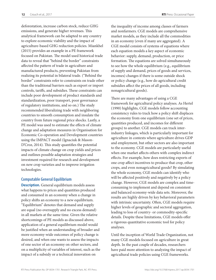deforestation, increase carbon stock, reduce GHG emissions, and generate higher revenues. This analytical framework can be adapted to any country to explore economic viability and the impact of agriculture-based GHG reduction policies. Miankhel (2015) provides an example in a PE framework focused on Pakistan. The model used historical trade data to reveal that "behind the border" constraints affected the pattern of trade in agriculture and manufactured products, preventing Pakistan from realizing its potential in bilateral trade. ("Behind the border" constraints refer to constraints on trade other than the traditional barriers such as export or import controls, tariffs, and subsidies. These constraints can include poor development of product standards and standardization, poor transport, poor governance of regulatory institutions, and so on.) The study recommended liberalizing trade with neighboring countries to smooth consumption and insulate the country from future regional price shocks. Lastly, a PE model was used to estimate the effects of climate change and adaptation measures in Organisation for Economic Co-operation and Development countries using the IMPACT model (Ignaciuk & Mason-D'Croz, 2014). This study quantifies the potential impacts of climate change on crop yields and prices and outlines possible adaptation strategies and investment required for research and development on new crop varieties and to improve irrigation technologies.

#### **Computable General Equilibrium**

**Description.** General equilibrium models assess what happens to prices and quantities produced and consumed in an economy when a change in policy shifts an economy to a new equilibrium. "Equilibrium" denotes that demand and supply are equal (no oversupply and no excess demand) in all markets at the same time. Given the relative shortcomings of PE models as discussed above, application of a general equilibrium model would be justified when an understanding of broader and more economy-wide outcomes of policy change is desired, and when one wants to assess the impacts of one sector of an economy on other sectors, and on a multiplicity of variables of interest, such as the impact of a subsidy or a technical innovation on

the inequality of income among classes of farmers and nonfarmers. CGE models are comprehensive market models, as they include all the commodities in an economy (even if many are aggregated). A CGE model consists of systems of equations where each equation models a key aspect of economic behavior: supply, demand, production, or price formation. The equations are solved simultaneously to see how the whole equilibrium (e.g., equilibrium of supply and demand, prices of goods and services, incomes) changes if there is some outside shock or policy change (e.g., how do agricultural credit subsidies affect the prices of all goods, including nonagricultural goods).

There are many advantages of using a CGE framework for agricultural policy analyses. As Hertel (1990) highlights, CGE models follow accounting consistency rules to track how a policy shift displaces the economy from one equilibrium (one set of prices, quantities produced, and incomes for different groups) to another. CGE models can track interindustry linkages, which is particularly important for agriculture in contexts where agriculture drives GDP and employment, but other sectors are also important to the economy. CGE models are particularly useful when one market affects others with complex indirect effects. For example, how does restricting exports of one crop affect incentives to produce that crop, other crops, and even nonagricultural goods? By simulating the whole economy, CGE models can identify who will be affected positively and negatively by a policy change. However, CGE models are complex and timeconsuming to implement and depend on consistent and balanced economy-wide data sets. Moreover, the results are highly driven by key behavioral parameters with intrinsic uncertainty. Often, CGE models require higher levels of geographic and sectoral aggregation, leading to loss of country- or commodity-specific details. Despite these limitations, CGE models offer a rigorous quantitative economic tool for policy analyses.

Until the inception of World Trade Organization, not many CGE models focused on agriculture in great depth. In the past couple of decades, researchers have paid more attention to analyzing the impact of agricultural trade policies using CGE frameworks.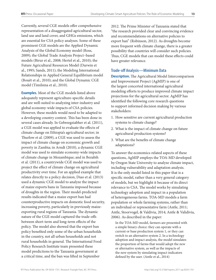Currently, several CGE models offer comprehensive representation of a disaggregated agricultural sector, land use and land cover, and GHGs emissions, which are essential for CSA policy analyses. Some of these prominent CGE models are the Applied Dynamic Analysis of the Global Economy model (Ross, 2009); the Global Trade Analysis Project–based models (Birur et al., 2008; Hertel et al., 2010); the Future Agricultural Resources Model (Darwin et al., 1995; Sands, 2011); the Modeling International Relationships in Applied General Equilibrium model (Bouët et al., 2010); and the Global Dynamic CGE model (Timilsina et al., 2010).

**Examples.** Most of the CGE models listed above adequately represent agriculture-specific details and are well-suited to analyzing inter-industry and global economy-wide impacts of CSA policies. However, these models would need to be adapted to a developing country context. This has been done in several cases already. In Gebreegziabher et al. (2011), a CGE model was applied to evaluate the effects of climate change on Ethiopia's agricultural sector; in Thurlow et al. (2009), a CGE was used to assess the impact of climate change on economic growth and poverty in Zambia; in Arndt (2010), a dynamic CGE model was used to simulate economy-wide impacts of climate change in Mozambique; and in Bezabih et al. (2011), a countrywide CGE model was used to project the effect of climate change on agricultural productivity over time. For an applied example that relates directly to a policy decision, Diao et al. (2013) used a dynamic CGE model to analyze the impact of maize exports bans in Tanzania imposed because of droughts in the region. Their model-predicted results indicated that a maize export ban had counterproductive impacts on domestic food security, increasing poverty, particularly in previously maizeexporting rural regions of Tanzania. The dynamic nature of the CGE model captured the trade-offs between short-term and long-term effects of the policy. The model also showed that the export ban policy benefited only some of the urban households in the country, not all urban households and not rural households in general. The International Food Policy Research Institute team presented these model predictions to the Tanzania government at a critical time, and the ban was lifted in September

2012. The Prime Minister of Tanzania stated that "the research provided clear and convincing evidence and recommendations on alternative policies to export ban" (Robinson, 2012). As droughts become more frequent with climate change, there is a greater possibility that countries will consider such policies. Thus, CGE models that can model these effects could have greater relevance.

#### **Trade-off Analysis—Minimum Data**

**Description.** The Agricultural Model Intercomparison and Improvement Project (AgMIP) is one of the largest concerted international agricultural modeling efforts to produce improved climate impact projections for the agricultural sector. AgMIP has identified the following core research questions to support informed decision making by various stakeholders:

- 1. How sensitive are current agricultural production systems to climate change?
- 2. What is the impact of climate change on future agricultural production systems?
- 3. What are the benefits of climate change adaptations?

To answer the economics-related aspects of these questions, AgMIP employs the TOA-MD developed by Oregon State University to analyze climate impact, including vulnerability and adaptation analysis. It is the only model listed in this paper that is a specific model, rather than a very general category of models, but we highlight it because of its direct relevance to CSA. The model works by simulating technology adoption and impact in a population of heterogeneous farms. TOA-MD models a farm population or whole farming systems, rather than an individual or representative farm (Antle, 2011; Antle, Stoorvogel, & Valdivia, 2014; Antle & Validivia, 2006). As described in the paper:

In the TOA-MD model, farmers are presented with a simple binary choice: they can operate with a current or base production system 1, or they can switch to an alternative system 2. In a technology adoption and impact analysis, the model simulates the proportion of farms that would adopt the new or alternative system, as well as the impacts of the new system by simulating impact indicators defined by the user. (Antle et al., 2014)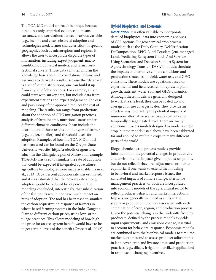The TOA-MD model approach is unique because it requires only empirical evidence on means, variances, and correlations between various variables (e.g., income and costs, observed adoption and technologies used, farmer characteristics) in specific geographies such as microregions and regions. It allows the user to incorporate disparate types of information, including expert judgment, macro conditions, biophysical models, and farm crosssectional surveys. Those data can then inform the knowledge base about the correlations, means, and variances to derive its results. Because the "database" is a set of joint distributions, one can build it up from any set of observations. For example, a user could start with survey data, but include data from experiment stations and expert judgement. The ease and parsimony of the approach reduces the cost of modeling. The results can range from predictions about the adoption of GHG mitigation practices, analysis of farm income, nutritional status under different climactic conditions. It can include the distribution of those results among types of farmers (e.g., bigger, smaller), and threshold levels for adoption. Examples of how the TOA-MD model has been used can be found on the Oregon State University website (http://tradeoffs.oregonstate. edu/). In the Chingale region of Malawi, for example, TOA-MD was used to simulate the rate of adoption that could be expected if integrated aquacultureagriculture technologies were made available (Tran et al., 2013). A 59 percent adoption rate was estimated, and it was estimated that the poverty rate among adopters would be reduced by 22 percent. The modeling concluded, interestingly, that subsidization of the fish ponds would not have much impact on rates of adoption. The tool has been used to simulate the carbon sequestration response of farmers in wheat-based farming systems in the Indo-Gangetic Plain to different carbon prices, using low- or notillage practices. This allows modeling of how high the price for an eco-system benefit would have to be to get certain levels of the benefit (Grace et al., 2012)

#### **Hybrid Biophysical and Economic**

**Description.** It is often valuable to incorporate detailed biophysical data into economic analyses of CSA options. Biogeochemical crop process models such as the Daily Century, DeNitrification-DeComposition, EPIC, Lund-Potsdam-Jena managed Land, Predicting Ecosystem Goods And Services Using Scenarios, and Decision Support System for Agrotechnology Transfer (DSSAT) models simulate the impacts of alternative climate conditions and production strategies on yield, water use, and GHG emissions. These models use equations based on experimental and field research to represent plant growth, nutrient, water, soil, and GHG dynamics. Although these models are generally designed to work at a site level, they can be scaled up and averaged for use at larger scales. They provide an effective way to quantify the potential impacts of numerous alternative scenarios at a spatially and temporally disaggregated level. There are many additional process models designed to model a single crop, but the models listed above have been calibrated for and applied to multiple crops in many different parts of the world.

Biogeochemical crop process models provide information on the potential changes in productivity and environmental impacts given input assumptions, but do not reflect behavioral adjustments or market equilibria. If one wants to extend the modeling to behavioral and market response issues, the simulated impacts of climate change, alternative management practices, or both are incorporated into economic models of the agricultural sector to reflect producer behavior and market interactions. Impacts are generally included as shifts in the supply or production function associated with each combination of crop, region, and production process. Given the potential changes in the trade-offs faced by producers, defined by the process models as yields, input requirements, and emissions change, it is vital to account for behavioral response. Economic models are combined with the biophysical models to simulate market outcomes and to assess producer adjustments in land cover, crop and livestock mix, and production practices (e.g., tillage, irrigation, fertilizer application) in response to changing incentives.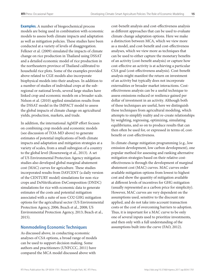<span id="page-18-0"></span>**Examples.** A number of biogeochemical process models are being used in combination with economic models to assess both climate impacts and adaptation as well as mitigation policies. These studies have been conducted at a variety of levels of disaggregation. Felkner et al. (2009) simulated the impacts of climate change on rice production in Thailand using DSSAT and a detailed economic model of rice production in the northeastern province of Thailand calibrated to household rice plots. Some of the examples provided above related to CGE models also incorporate biophysical models into their analyses. In addition to a number of studies of individual crops at the subregional or national levels, several large studies have linked crop and economic models on a broader scale. Nelson et al. (2010) applied simulation results from the DSSAT model in the IMPACT model to assess the global impacts of climate change on agricultural yields, production, markets, and trade.

In addition, the international AgMIP effort focuses on combining crop models and economic models (see discussion of TOA-MD above) to generate estimates of potential implications of both climate impacts and adaptation and mitigation strategies at a variety of scales, from a small subregion of a country to the global level (Rosenzweig et al., 2013). A set of US Environmental Protection Agency mitigation studies also developed global marginal abatement cost (MAC) curves for agriculture. These studies incorporated results from DAYCENT (a daily version of the CENTURY model) simulations for non-rice crops and DeNitrification-DeComposition (DNDC) simulations for rice with economic data to generate estimates of the costs and potential mitigation associated with a suite of non-CO2 GHG mitigation options for the agricultural sector (US Environmental Protection Agency, 2006; Beach et al., 2008; US Environmental Protection Agency, 2013; Beach et al., 2015).

#### **Nonmodeling Economic Techniques**

As discussed above, in conducting economic analyses of CSA options, a broad range of models can be used to support decision making. Some authors and practitioners (UNFCCC, 2011) have compared the MCA model discussed above with

cost-benefit analysis and cost-effectiveness analysis as different approaches that can be used to evaluate climate change adaptation options. Here we make a distinction between MCA, which we view more as a model, and cost-benefit and cost-effectiveness analyses, which we view more as techniques that can be used to either capture the monetary benefits of an activity (cost-benefit analysis) or capture how cost-effective an activity is at achieving a particular CSA goal (cost-effectiveness analysis). Cost-benefit analysis might manifest the return on investment of an activity but typically does not incorporate externalities or broader market interactions. Costeffectiveness analysis can be a useful technique to assess emissions reduced or resilience gained per dollar of investment in an activity. Although both of these techniques are useful, here we distinguish these techniques from agricultural modeling, which attempts to simplify reality and re-create relationships by weighting, regressing, optimizing, simulating equilibriums, and so on to produce results that can then often be used for, or expressed in terms of, costbenefit or cost-effectiveness.

In climate change mitigation programming (e.g., low emission development, low carbon development), one popular method for assessing and ranking alternative mitigation strategies based on their relative costeffectiveness is through the development of marginal abatement cost (MAC) curves. MAC curves order available mitigation options from lowest to highest cost and show the quantity of mitigation available at different levels of incentives for GHG mitigation (usually represented as a carbon price for simplicity). However, MAC curves are very dependent on the assumptions used, sensitive to the discount rate applied, and do not take into account transaction costs or the cost of overcoming barriers to adoption. Thus, it is important for a MAC curve to be only one of several inputs used to prioritize investments, and then only with a full understanding of the assumptions built into the curve (FAO, 2012).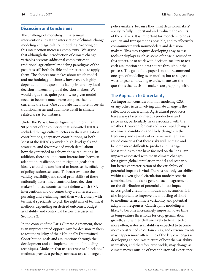#### <span id="page-19-0"></span>Discussion and Conclusions

The challenge of modeling climate-smart interventions lies at the intersection of climate change modeling and agricultural modeling. Working on this intersection increases complexity. We argue that although the introduction of climate change variables presents additional complexities to traditional agricultural modeling paradigms of the past, it is still both feasible and practicable to apply them. The choices one makes about which model and methodology to choose, however, are highly dependent on the questions facing in-country local decision-makers, or global decision-makers. We would argue that, quite possibly, no given model needs to become much more complex than is currently the case. One could abstract more in certain traditional areas and add more detail in climaterelated areas, for instance.

Under the Paris Climate Agreement, more than 90 percent of the countries that submitted INDCs included the agriculture sectors in their mitigation contributions, adaptation contributions, or both. Most of the INDCs provided high-level goals and strategies, and few provided much detail about how they intended to achieve those reductions. In addition, there are important interactions between adaptation, resilience, and mitigation goals that ideally should be considered to increase the efficiency of policy actions selected. To better evaluate the validity, feasibility, and social profitability of these nationally determined contributions, decisionmakers in these countries must define which CSA interventions and outcomes they are interested in pursuing and evaluating, and then work closely with technical specialists to pick the right mix of technical methods depending on desired outcomes, budget availability, and contextual factors discussed in Section 2.2.

In the context of the Paris Climate Agreement, there is an unprecedented opportunity for decision-makers to test the validity of their Nationally Determined Contribution goals and assumptions through the development and co-implementation of modeling techniques. Modelers that use abstruse or "black box" methods provide a perhaps unnecessary challenge to

policy-makers, because they limit decision-makers' ability to fully understand and evaluate the results of the analysis. It is important for modelers to be as explicit and transparent as possible, and to effectively communicate with nonmodelers and decisionmakers. This may require developing easy-to-use tools or displays (such as some of those discussed in this paper), or to work with decision-makers to test each assumption and data source throughout the process. The goal of the paper is not to recommend one type of modeling over another, but to suggest ways to gear a modeling exercise to answer the questions that decision-makers are grappling with.

#### **The Approach to Uncertainty**

An important consideration for modeling CSA or any other issue involving climate change is the reflection of uncertainty. Agricultural producers have always faced numerous production and price risks, particularly risks associated with the weather. However, forecasts of more rapid changes in climatic conditions and likely changes in the frequency and severity of extreme weather have raised concerns that these risks will increase and become more difficult to predict and manage. Most studies to date have focused on the long-run impacts associated with mean climate changes for a given global circulation model and scenario, but better characterization of the variability of potential impacts is vital. There is not only variability within a given global circulation model/scenario combination, but also a general lack of agreement on the distribution of potential climate impacts across global circulation models and scenarios. It is also important to improve the modeling of shortto medium-term climate variability and potential adaptation responses. Catastrophic modeling is likely to become increasingly important over time as temperature thresholds for crop germination, growth, and winter chill are likely to be exceeded more often; water availability is expected to become more constrained in certain areas; and extreme events may happen more often. One of the key challenges is developing an accurate picture of how the variability in weather, and therefore crop yields, may change as climate moves outside of recent historical experience.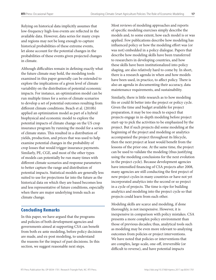<span id="page-20-0"></span>Relying on historical data implicitly assumes that low-frequency high-loss events are reflected in the available data. However, data series for many crops and regions may not be long enough to capture historical probabilities of these extreme events, let alone account for the potential changes in the probabilities of these events given projected changes in climate.

Although difficulties remain in defining exactly what the future climate may hold, the modeling tools examined in this paper generally can be extended to explore the implications of a given level of climate variability on the distribution of potential economic impacts. For instance, an optimization model can be run multiple times for a series of climate scenarios to develop a set of potential outcomes resulting from different climate conditions. Beach et al. (2010b) applied an optimization model as part of a hybrid biophysical and economic model to explore the potential impacts of climate change on the US crop insurance program by running the model for a series of climate states. This resulted in a distribution of yields, production, and prices that was used to help examine potential changes in the probability of crop losses that would trigger insurance payments. Similarly, PE, CGE, and most of the other types of models can potentially be run many times with different climate scenarios and response parameters to better capture the range and distribution of potential impacts. Statistical models are generally less suited to use for projections far into the future as the historical data on which they are based becomes less and less representative of future conditions, especially when there are major underlying trends such as climate change.

#### Concluding Remarks

In this paper, we have argued that the programs and policies of both development agencies and governments aimed at supporting CSA can benefit from both ex-ante modeling, before policy decisions are made, and ex-post modeling, to understand the reasons for the impact of past decisions. In this section, we suggest reasonable next steps.

Most reviews of modeling approaches and reports of specific modeling exercises simply describe the models and, to some extent, how each model is or was applied. Few publications describe how modeling has influenced policy or how the modeling effort was (or was not) embedded in a policy dialogue. Papers that describe how modeling skills have been transferred to researchers in developing countries, and how these skills have been institutionalized into policy shaping, are also relatively hard to come by. In short, there is a research agenda in when and how models have been used, in practice, to affect policy. There is also an agenda in documenting their accuracy, data maintenance requirements, and sustainability.

Similarly, there is little research as to how modeling fits or could fit better into the project or policy cycle. Given the time and budget available for project preparation, it may be too much to expect that projects engage in in-depth modeling before project start-up to pick the activities to be emphasized by the project. But if such projects did some modeling at the beginning of the project and modeling or analytics accompanied the project throughout its lifecycle, then the next project at least would benefit from the lessons of the prior one. At the same time, the project can be used to validate the modeling (thus justifying using the modeling conclusions for the next evolution in the project cycle). Because development agencies have intensified financing of CSA projects after 2008, many agencies are still conducting the first project of new project cycles in many countries or have not yet incorporated analytics into the second or so project in a cycle of projects. The time is ripe for building analytics and modeling into the project cycle so that projects could learn from each other.

Modeling skills are scarce and modeling, if done thoroughly, is not inexpensive. However, it is inexpensive in comparison with policy mistakes. CSA presents a more complex policy environment than those of previous decades; thus, analytical tools such as modeling may be even more relevant to analyzing outcomes from policies or project interventions. We have noted that policies or interventions that are complex, large-scale, one-off, irreversible (or difficult to reverse), and have potential impacts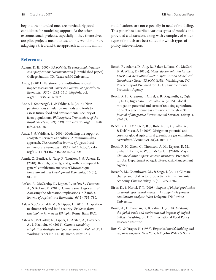<span id="page-21-0"></span>beyond the intended ones are particularly good candidates for modeling support. At the other extreme, small projects, especially if they themselves are pilot projects meant to test an intervention, or are adapting a tried-and-true approach with only minor

#### References

- Adams, D. E. (2005). F*ASOM-GHG conceptual structure, and specification: Documentation* [Unpublished paper]. College Station, TX: Texas A&M University.
- Antle, J. (2011). Parsimonious multi-dimensional impact assessment. *American Journal of Agricultural Economics, 93*(5), 1292–1311[. http://dx.doi.](http://dx.doi.org/10.1093/ajae/aar052) [org/10.1093/ajae/aar052](http://dx.doi.org/10.1093/ajae/aar052)
- Antle, J., Stoorvogel, J., & Valdivia, R. (2014). New parsimonious simulation methods and tools to assess future food and environmental security of farm populations. *Philosophical Transactions of the Royal Society B, 369*(1639). [http://dx.doi.org/10.1098/](http://dx.doi.org/10.1098/rstb.2012.0280) [rstb.2012.0280](http://dx.doi.org/10.1098/rstb.2012.0280)

Antle, J., & Valdivia, R. (2006). Modelling the supply of ecosystem services agriculture: A minimum-data approach. *The Australian Journal of Agricultural and Resource Economics, 50*(1), 1–15. [http://dx.doi.](http://dx.doi.org/10.1111/j.1467-8489.2006.00315.x) [org/10.1111/j.1467-8489.2006.00315.x](http://dx.doi.org/10.1111/j.1467-8489.2006.00315.x)

- Arndt, C., Benfica, R., Tarp, F., Thurlow, J., & Uaiene, R. (2010). Biofuels, poverty, and growth: a computable general equilibrium analysis of Mozambique. *Environment and Development Economics, 15*(01), 81–105.
- Arslan, A., McCarthy, N., Lipper, L., Asfaw, S., Cattaneo, A., & Kokwe, M. (2015). Climate smart agriculture? Assessing the adaptation implications in Zambia. *Journal of Agricultural Economics, 66*(3), 753–780.
- Asfaw, S., Coromaldi, M., & Lipper, L. (2015). Adaptation to climate risk and food security: *Evidence from smallholder farmers in Ethiopia*. Rome, Italy: FAO.

Asfaw, S., McCarthy, N., Lipper, L., Arslan, A., Cattaneo, A., & Kachulu, M. (2014). *Climate variability, adaptation strategies and food security in Malawi* (ESA Working Paper No. 14-08). Rome, Italy: FAO.

modifications, are not especially in need of modeling. This paper has described various types of models and provided a discussion, along with examples, of which types of models are best suited for which types of policy interventions.

- Beach, R., Adams, D., Alig, R., Baker, J., Latta, G., McCarl, B., & White, E. (2010a). *Model documentation for the Forest and Agricultural Sector Optimization Model with Greenhouse Gases (FASOM-GHG)*. Washington, DC: Project Report Prepared for U.S.US Environmental Protection Agency.
- Beach, R. H., Creason, J., Ohrel, S. B., Ragnauth, S., Ogle, S., Li, C., Ingraham, P., & Salas, W. (2015). Global mitigation potential and costs of reducing agricultural non-CO<sub>2</sub> greenhouse gas emissions through 2030. *Journal of Integrative Environmental Sciences, 12*(sup1), 87–105.
- Beach, R. H., DeAngelo, B. J., Rose, S., Li, C., Salas, W., & DelGrosso, S. J. (2008). Mitigation potential and costs for global agricultural greenhouse gas emissions. *Agricultural Economics, 38*(2), 109–115.
- Beach, R. H., Zhen, C., Thomson, A. M., Rejesus, R. M., Sinha, P., Lentz, A. W., … McCarl, B. (2010b, May). *Climate change impacts on crop insurance*. Prepared for U.S. Department of Agriculture, Risk Management Agency.
- Bezabih, M., Chambwera, M., & Stage, J. (2011). Climate change and total factor productivity in the Tanzanian economy. *Climate Policy, 11*(6), 1289–1302.
- Birur, D., & Hertel, T. T. (2008). *Impact of biofuel production on world agricultural markets: A computable general equilibrium analysis*. West Lafayette, IN: Purdue University.
- Bouët, A., Dimaranan, B., & Valin, H. (2010). *Modeling the global trade and environmental impacts of biofuel policies*. Washington, DC: International Food Policy Research Institute.
- Box, G., & Draper, N. (1987). E*mpirical model building and response surfaces*. New York, NY: John Wiley & Sons.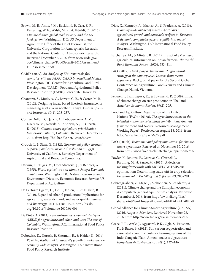- Brown, M. E., Antle, J. M., Backlund, P., Carr, E. R., Easterling, W. E., Walsh, M. K., & Tebaldi, C. (2015). *Climate change, global food security, and the US food system*. Washington, DC: US Department of Agriculture Office of the Chief Economist, the University Corporation for Atmospheric Research, and the National Center for Atmospheric Research. Retrieved December 2, 2016, from [www.usda.gov/](http://www.usda.gov/oce/climate_change/FoodSecurity2015Assessment/FullAssessment.pdf) [oce/climate\\_change/FoodSecurity2015Assessment/](http://www.usda.gov/oce/climate_change/FoodSecurity2015Assessment/FullAssessment.pdf) [FullAssessment.pdf](http://www.usda.gov/oce/climate_change/FoodSecurity2015Assessment/FullAssessment.pdf)
- CARD. (2009). *An Analysis of EPA renewable fuel scenarios with the FAPRI-CARD International Models*. Washington, DC: Center for Agricultural and Rural Development (CARD), Food and Agricultural Policy Research Institute (FAPRI), Iowa State University.
- Chantarat, S., Mude, A. G., Barrett, C. B., & Carter, M. R. (2012). Designing index-based livestock insurance for managing asset risk in northern Kenya. *Journal of Risk and Insurance, 80*(1), 205–237.
- Corner-Dolloff, C., Jarvis, A., Loboguerrero, A. M., Lizarazo, M., Nowak, A., Andrieu, N., … Girvetz, E. (2015). *Climate-smart agriculture prioritization framework. Palmira, Colombia*. Retrieved December 2, 2016, from <http://hdl.handle.net/10568/68398>
- Crouch, L. & Siam, G. (1982). *Government policy, farmers' responses, and rural income distribution in Egypt*. University of California, Berkeley: Department of Agricultural and Resource Economics.
- Darwin, R., Tsigas, M., Lewandrowski, J., & Raneses, A. (1995). *World agriculture and climate change: Economic adaptations*. Washington, DC: Natural Resources and Environment Division, Economic Research Service, US Department of Agriculture.
- De La Torre Ugarte, D., He, L., Jensen, K., & English, B. (2010). Expanded ethanol production: Implications for agriculture, water demand, and water quality. *Biomass and Bioenergy, 34*(11), 1586–1596. [http://dx.doi.](http://dx.doi.org/10.1016/j.biombioe.2010.06.006) [org/10.1016/j.biombioe.2010.06.006](http://dx.doi.org/10.1016/j.biombioe.2010.06.006)
- De Pinto, A. (2014). *Low emission development strategies (LEDS) for agriculture and other land uses: The case of Colombia*. Washington, D.C.: International Food Policy Research Institute.
- Debowicz, D., Dorosh, P., Sherman, R., & Haider, S. (2014). *PSSP implications of productivity growth in Pakistan: An economy wide analysis*. Washington, DC: International Food Policy Research Institute.
- Diao, X., Kennedy, A., Mabiso, A., & Pradesha, A. (2013). *Economy-wide impact of maize export bans on agricultural growth and household welfare in Tanzania - A dynamic computable general equilibrium model analysis*. Washington, DC: International Food Policy Research Institute.
- Fafchamps, M., & Minten, B. (2012). Impact of SMS-based agricultural information on Indian farmers. *The World Bank Economic Review, 26*(3), 383–414.
- FAO. (2012). *Developing a climate-smart agricultural strategy at the country level: Lessons from recent experience*. Background paper for the Second Global Conference on Agriculture, Food Security and Climate Change, Hanoi, Vietnam.
- Felkner, J., Tazhibayeva, K., & Townsend, R. (2009). Impact of climate change on rice production in Thailand. *American Economic Review, 99*(2), 205.
- Food and Agriculture Organization of the United Nations (FAO). (2016a). *The agriculture sectors in the intended nationally determined contributions: Analysis* (Environment and Natural Resources Management Working Paper). Retrieved on August 18, 2016, from <http://www.fao.org/3/a-i5687e.pdf>
- FAO. (2016b). *Economics and policy innovations for climatesmart agriculture*. Retrieved on November 30, 2016, from <http://www.fao.org/climatechange/epic/home/en/>
- Fowler, K., Jenkins, E., Ostrove, C., Chispell, J., Farthing, M., & Parno, M. (2015). A decision making framework with MODFLOW-FMP2 via optimization: Determining trade-offs in crop selection. *Environmental Modelling and Software, 69*, 280–291.
- Gebreegziabher, Z., Stage, J., Mekonnen, A., & Alemu, A. (2011). Climate change and the Ethiopian economy: A computable general equilibrium analysis. Retrieved December 2, 2016, from [http://www.rff.org/files/](http://www.rff.org/files/sharepoint/WorkImages/Download/EfD-DP-11-09.pdf) [sharepoint/WorkImages/Download/EfD-DP-11-09.pdf](http://www.rff.org/files/sharepoint/WorkImages/Download/EfD-DP-11-09.pdf)
- Global Alliance for Climate-Smart Agriculture (GACSA). (2016, August). *Members*. Retrieved November 28, 2016, from<http://www.fao.org/gacsa/members/en/>
- Grace, P. R., Antle, J., Aggarwal, P. K., Ogle, S., Paustian, K., & Basso, B. (2012). Soil carbon sequestration and associated economic costs for farming systems of the Indo-Gangetic Plain: A meta-analysis. *Agriculture, Ecosystems & Environment, 146*(1), 137–146.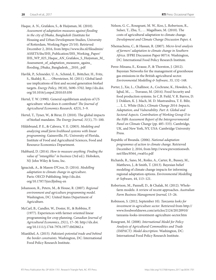- Haque, A. N., Grafakos, S., & Huijsman, M. (2010). *Assessment of adaptation measures against flooding in the city of Dhaka, Bangladesh* (Institute for Housing and Urban Development Studies, University of Rotterdam, Working Paper 25/10). Retrieved December 2, 2016, from [https://www.ihs.nl/fileadmin/](https://www.ihs.nl/fileadmin/ASSETS/ihs/IHS_Publication/IHS_Working_Paper/IHS_WP_025_Haque_AN_Grafakos_S_Huijsman_M_Assessment_of_adaptation_measures_agains_flooding_Dhaka_Bangladesh__2010_.pdf) [ASSETS/ihs/IHS\\_Publication/IHS\\_Working\\_Paper/](https://www.ihs.nl/fileadmin/ASSETS/ihs/IHS_Publication/IHS_Working_Paper/IHS_WP_025_Haque_AN_Grafakos_S_Huijsman_M_Assessment_of_adaptation_measures_agains_flooding_Dhaka_Bangladesh__2010_.pdf) [IHS\\_WP\\_025\\_Haque\\_AN\\_Grafakos\\_S\\_Huijsman\\_M\\_](https://www.ihs.nl/fileadmin/ASSETS/ihs/IHS_Publication/IHS_Working_Paper/IHS_WP_025_Haque_AN_Grafakos_S_Huijsman_M_Assessment_of_adaptation_measures_agains_flooding_Dhaka_Bangladesh__2010_.pdf) [Assessment\\_of\\_adaptation\\_measures\\_agains\\_](https://www.ihs.nl/fileadmin/ASSETS/ihs/IHS_Publication/IHS_Working_Paper/IHS_WP_025_Haque_AN_Grafakos_S_Huijsman_M_Assessment_of_adaptation_measures_agains_flooding_Dhaka_Bangladesh__2010_.pdf) [flooding\\_Dhaka\\_Bangladesh\\_\\_2010\\_.pdf](https://www.ihs.nl/fileadmin/ASSETS/ihs/IHS_Publication/IHS_Working_Paper/IHS_WP_025_Haque_AN_Grafakos_S_Huijsman_M_Assessment_of_adaptation_measures_agains_flooding_Dhaka_Bangladesh__2010_.pdf)
- Havlik, P., Schneider, U. A., Schmid, E., Böttcher, H., Fritz, S., Skalský, R., … Obersteiner, M. (2011). Global landuse implications of first and second generation biofuel targets. *Energy Policy, 39*(10), 5690–5702. [http://dx.doi.](http://dx.doi.org/10.1016/j.enpol.2010.03.030) [org/10.1016/j.enpol.2010.03.030](http://dx.doi.org/10.1016/j.enpol.2010.03.030)
- Hertel, T. W. (1990). General equilibrium analysis of US agriculture: what does it contribute? *The Journal of Agricultural Economics Research, 42*(3), 3–9.
- Hertel, T., Tyner, W., & Birur, D. (2010). The global impacts of biofuel mandates. *The Energy Journal, 31*(1), 75–100.
- Hildebrand, P. E., & Cabrera, V. E. (2003). *Modeling and analyzing small farm livelihood systems with linear programming*. Gainesville, FL: University of Florida, Institute of Food and Agricultural Sciences, Food and Resource Economics Department.
- Hubbard, D. (2014). *How to measure anything. Finding the value of "intangibles" in business* (3rd ed.). Hoboken, NJ: John Wiley & Sons, Inc.
- Ignaciuk, A., & Mason-D'Croz, D. (2014). *Modelling adaptation to climate change in agriculture*. Paris: OECD Publishing. [http://dx.doi.](http://dx.doi.org/10.1787/5jxrclljnbxq-en) [org/10.1787/5jxrclljnbxq-en](http://dx.doi.org/10.1787/5jxrclljnbxq-en)
- Johansson, R., Peters, M., & House, R. (2007). *Regional environment and agriculture programming model*. Washington, DC: United States Department of Agriculture.
- McCarl, B., Candler, W., Doster, H., & Robbins, P. (1977). Experiences with farmer oriented linear programming for crop planning. *Canadian Journal of Agricultural Economics, 25*(1), 17–30. [http://dx.doi.](http://dx.doi.org/10.1111/j.1744-7976.1977.tb02862.x) [org/10.1111/j.1744-7976.1977.tb02862.x](http://dx.doi.org/10.1111/j.1744-7976.1977.tb02862.x)
- Miankhel, A. (2015). *Pakistan's potential trade and behind the border constraints*. Washington, DC: International Food Policy Research Institute.
- Nelson, G. C., Rosegrant, M. W., Koo, J., Robertson, R., Sulser, T., Zhu, T., … Magalhaes, M. (2010). The costs of agricultural adaptation to climate change. *Development and Climate Change Discussion Paper, 4*.
- Nhemachena, C., & Hassan, R. (2007). *Micro-level analysis of farmers' adaptation to climate change in Southern Africa*. IFPRI Discussion Paper 00714. Washington, DC: International Food Policy Research Institute.
- Perez-Minana, E., Krause, P., & Thornton, J. (2012). Bayesian Networks for the management of greenhouse gas emissions in the British agricultural sector. *Environmental Modelling & Software, 35*, 132–148.
- Porter, J., Xie, L., Challinor, A., Cochrane, K., Howden, S., Iqbal, M., … Travasso, M. (2014). Food Security and food production systems. In C.B. Field, V. R. Barros, D. J. Dokken, K. J. Mach, M. D. Mastrandrea, T. E. Bilir, … L. L. White (Eds.), *Climate Change 2014: Impacts, Adaptation, and Vulnerability. Part A: Global and Sectoral Aspects. Contribution of Working Group II to the Fifth Assessment Report of the Intergovernmental Panel on Climate Change* (pp. 485–533). Cambridge, UK, and New York, NY, USA: Cambridge University Press.
- Republic of Rwanda. (2006). *National adaptation programmes of action to climate change*. Retrieved December 2, 2016, from [http://www.preventionweb.](http://www.preventionweb.net/files/8564_rwa01e.pdf) [net/files/8564\\_rwa01e.pdf](http://www.preventionweb.net/files/8564_rwa01e.pdf)
- Richards, R., Sano, M., Roiko, A., Carter, R., Bussey, M., Matthews, J., & Smith, T. (2013). Bayesian belief modeling of climate change impacts for informing regional adaptation options. *Environmental Modelling & Software, 44*, 113–121.
- Robertson, M., Pannell, D., & Chalak, M. (2012). Wholefarm models: A review of recent approaches. *Australian Farm Business Management Journal*, 13–26.
- Robinson, S. (2012, September 10). *Tanzania looks for investment in agriculture sector*. Retrieved from [http://](http://www.foodworldnews.com/articles/2124/20120910/tanzania-looks-investment-agriculture-sector.htm) [www.foodworldnews.com/articles/2124/20120910/](http://www.foodworldnews.com/articles/2124/20120910/tanzania-looks-investment-agriculture-sector.htm) [tanzania-looks-investment-agriculture-sector.htm](http://www.foodworldnews.com/articles/2124/20120910/tanzania-looks-investment-agriculture-sector.htm)
- Rosegrant, M. (2008). *International Model for Policy Analysis of Agricultural Commodities and Trade (IMPACT): Model description*. Washington, DC: International Food Policy Research Institute.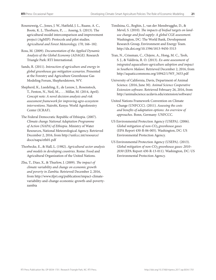Rosenzweig, C., Jones, J. W., Hatfield, J. L., Ruane, A. C., Boote, K. J., Thorburn, P., … Asseng, S. (2013). The agricultural model intercomparison and improvement project (AgMIP): Protocols and pilot studies. *Agricultural and Forest Meteorology, 170*, 166–182.

Ross, M. (2009). *Documentation of the Applied Dynamic Analysis of the Global Economy (ADAGE)*. Research Triangle Park: RTI International.

Sands, R. (2011). *Interaction of agriculture and energy in global greenhouse gas mitigation scenarios*. Presented at the Forestry and Agriculture Greenhouse Gas Modeling Forum, Shepherdstown, WV.

Shepherd, K., Luedeling, E., de Leeuw, J., Rosenstock, T., Fenton, N., Neil, M., . . . Millar, M. (2014, April). *Concept note: A novel decision analysis and risk assessment framework for improving agro-ecosystem interventions*. Nairobi, Kenya: World Agroforestry Center (ICRAF).

The Federal Democratic Republic of Ethiopia. (2007). *Climate change National Adaptation Programme of Action (NAPA) of Ethiopia*. Ministry of Water Resources, National Meteorological Agency. Retrieved December 2, 2016, from [http://unfccc.int/resource/](http://unfccc.int/resource/docs/napa/eth01.pdf) [docs/napa/eth01.pdf](http://unfccc.int/resource/docs/napa/eth01.pdf) 

Thorbecke, E., & Hall, L. (1982). *Agricultural sector analysis and models in developing countries*. Rome: Food and Agricultural Organization of the United Nations.

Zhu, T., Diao, X., & Thurlow, J. (2009). *The impact of climate variability and change on economic growth and poverty in Zambia*. Retrieved December 2, 2016, from [http://www.ifpri.org/publication/impact-climate](http://www.ifpri.org/publication/impact-climate-variability-and-change-economic-growth-and-poverty-zambia)[variability-and-change-economic-growth-and-poverty](http://www.ifpri.org/publication/impact-climate-variability-and-change-economic-growth-and-poverty-zambia)[zambia](http://www.ifpri.org/publication/impact-climate-variability-and-change-economic-growth-and-poverty-zambia) 

Timilsina, G., Beghin, J., van der Mensbrugghe, D., & Mevel, S. (2010). *The impacts of biofuel targets on landuse change and food supply: A global CGE assessment*. Washington, DC: The World Bank, Development Research Group, Environment and Energy Team. <http://dx.doi.org/10.1596/1813-9450-5513>

Tran, N., Crissman, C., Chijere, A., Hong, M. C., Teoh, S. J., & Valdivia, R. O. (2013). *Ex-ante assessment of integrated aquaculture-agriculture adoption and impact in Southern Malawi*. Retrieved December 2, 2016, from [http://aquaticcommons.org/10942/1/WF\\_3453.pdf](http://aquaticcommons.org/10942/1/WF_3453.pdf)

University of California, Davis, Department of Animal Science. (2016, June 30). *Animal Science Cooperative Extension software*. Retrieved February 26, 2016, from <http://animalscience.ucdavis.edu/extension/software/>

United Nations Framework Convention on Climate Change (UNFCCC). (2011). *Assessing the costs and benefits of adaptation options: An overview of approaches*. Bonn, Germany: UNFCCC.

US Environmental Protection Agency (USEPA). (2006). *Global mitigation of non-CO2 greenhouse gases* (EPA Report 430-R-06-005). Washington, DC: US Environmental Protection Agency.

US Environmental Protection Agency (USEPA). (2013). *Global mitigation of non-CO2 greenhouse gases: 2010– 2030* (EPA Report 430-R-13-011). Washington, DC: US Environmental Protection Agency.